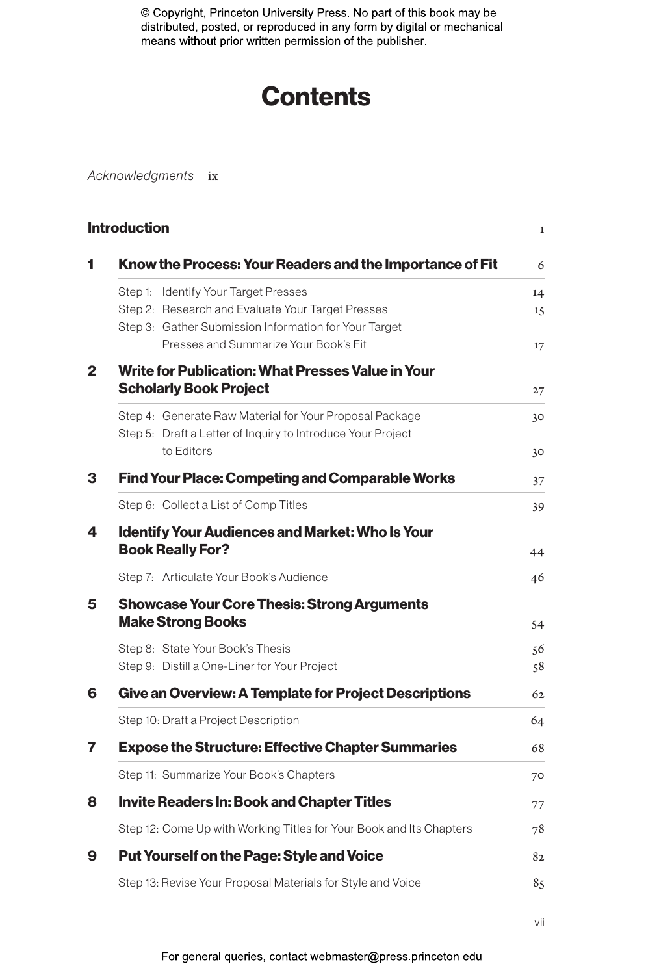# **Contents**

*Acknowledgments* ix

| Know the Process: Your Readers and the Importance of Fit                                                                                           | 6        |
|----------------------------------------------------------------------------------------------------------------------------------------------------|----------|
| Step 1: Identify Your Target Presses<br>Step 2: Research and Evaluate Your Target Presses<br>Step 3: Gather Submission Information for Your Target | 14<br>15 |
| Presses and Summarize Your Book's Fit                                                                                                              | 17       |
| Write for Publication: What Presses Value in Your<br><b>Scholarly Book Project</b>                                                                 | 27       |
| Step 4: Generate Raw Material for Your Proposal Package<br>Step 5: Draft a Letter of Inquiry to Introduce Your Project<br>to Editors               | 30<br>30 |
| <b>Find Your Place: Competing and Comparable Works</b>                                                                                             | 37       |
| Step 6: Collect a List of Comp Titles                                                                                                              | 39       |
| <b>Identify Your Audiences and Market: Who Is Your</b>                                                                                             |          |
| <b>Book Really For?</b><br>Step 7: Articulate Your Book's Audience<br><b>Showcase Your Core Thesis: Strong Arguments</b>                           | 44<br>46 |
| <b>Make Strong Books</b>                                                                                                                           | 54       |
| Step 8: State Your Book's Thesis                                                                                                                   | 56       |
| Step 9: Distill a One-Liner for Your Project<br><b>Give an Overview: A Template for Project Descriptions</b>                                       | 58<br>62 |
| Step 10: Draft a Project Description                                                                                                               | 64       |
| <b>Expose the Structure: Effective Chapter Summaries</b>                                                                                           | 68       |
| Step 11: Summarize Your Book's Chapters                                                                                                            | 70       |
| <b>Invite Readers In: Book and Chapter Titles</b>                                                                                                  | 77       |
| Step 12: Come Up with Working Titles for Your Book and Its Chapters                                                                                | 78       |
| <b>Put Yourself on the Page: Style and Voice</b>                                                                                                   | 82       |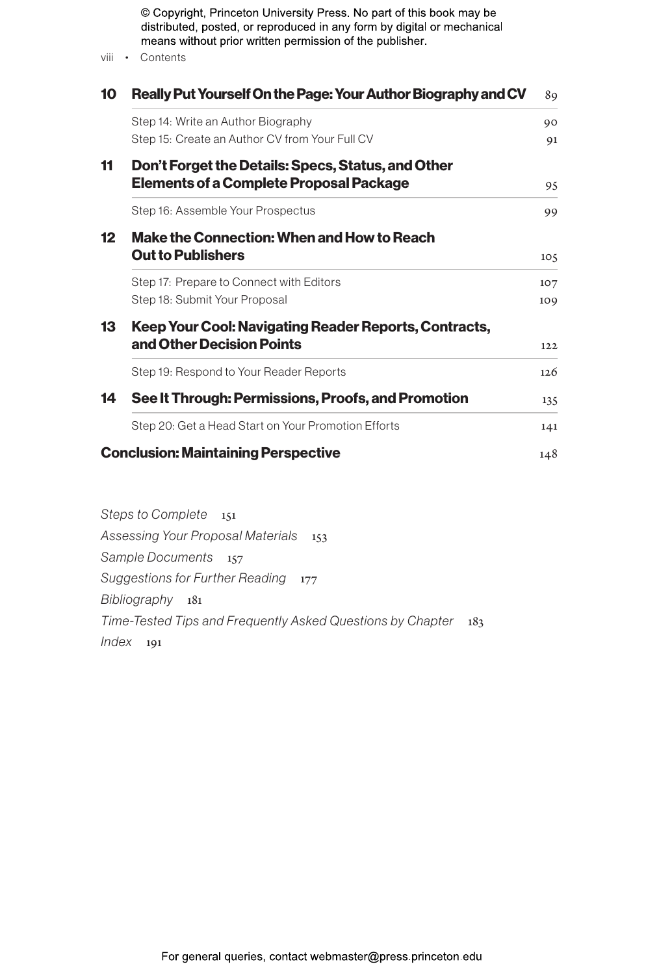| viii            | © Copyright, Princeton University Press. No part of this book may be<br>distributed, posted, or reproduced in any form by digital or mechanical<br>means without prior written permission of the publisher.<br>• Contents |            |  |  |
|-----------------|---------------------------------------------------------------------------------------------------------------------------------------------------------------------------------------------------------------------------|------------|--|--|
| 10              | Really Put Yourself On the Page: Your Author Biography and CV                                                                                                                                                             | 89         |  |  |
|                 | Step 14: Write an Author Biography                                                                                                                                                                                        | 90         |  |  |
|                 | Step 15: Create an Author CV from Your Full CV                                                                                                                                                                            | 91         |  |  |
| 11              | Don't Forget the Details: Specs, Status, and Other<br><b>Elements of a Complete Proposal Package</b>                                                                                                                      | 95         |  |  |
|                 | Step 16: Assemble Your Prospectus                                                                                                                                                                                         | 99         |  |  |
| 12 <sup>2</sup> | Make the Connection: When and How to Reach<br><b>Out to Publishers</b><br>105                                                                                                                                             |            |  |  |
|                 | Step 17: Prepare to Connect with Editors<br>Step 18: Submit Your Proposal                                                                                                                                                 | 107<br>109 |  |  |
| 13              | Keep Your Cool: Navigating Reader Reports, Contracts,<br>and Other Decision Points                                                                                                                                        | 122        |  |  |
|                 | Step 19: Respond to Your Reader Reports                                                                                                                                                                                   | 126        |  |  |
| 14              | See It Through: Permissions, Proofs, and Promotion                                                                                                                                                                        | 135        |  |  |
|                 | Step 20: Get a Head Start on Your Promotion Efforts                                                                                                                                                                       | 141        |  |  |
|                 | <b>Conclusion: Maintaining Perspective</b>                                                                                                                                                                                | 148        |  |  |

*Steps to Complete* 151 *Assessing Your Proposal Materials* 153 *Sample Documents* 157 **Suggestions for Further Reading** 177 *Bibliography* 181 *Time-Tested Tips and Frequently Asked Questions by Chapter* 183 *Index* 191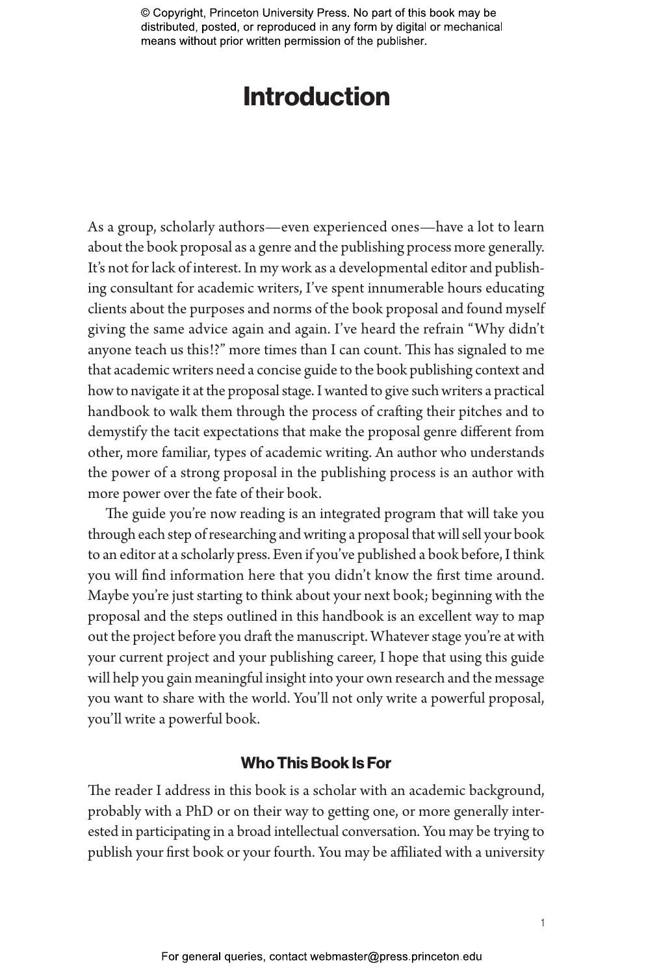## Introduction

As a group, scholarly authors—even experienced ones—have a lot to learn about the book proposal as a genre and the publishing process more generally. It's not for lack of interest. In my work as a developmental editor and publishing consultant for academic writers, I've spent innumerable hours educating clients about the purposes and norms of the book proposal and found myself giving the same advice again and again. I've heard the refrain "Why didn't anyone teach us this!?" more times than I can count. This has signaled to me that academic writers need a concise guide to the book publishing context and how to navigate it at the proposal stage. I wanted to give such writers a practical handbook to walk them through the process of crafting their pitches and to demystify the tacit expectations that make the proposal genre different from other, more familiar, types of academic writing. An author who understands the power of a strong proposal in the publishing process is an author with more power over the fate of their book.

The guide you're now reading is an integrated program that will take you through each step of researching and writing a proposal that will sell your book to an editor at a scholarly press. Even if you've published a book before, I think you will find information here that you didn't know the first time around. Maybe you're just starting to think about your next book; beginning with the proposal and the steps outlined in this handbook is an excellent way to map out the project before you draft the manuscript. Whatever stage you're at with your current project and your publishing career, I hope that using this guide will help you gain meaningful insight into your own research and the message you want to share with the world. You'll not only write a powerful proposal, you'll write a powerful book.

### Who This Book Is For

The reader I address in this book is a scholar with an academic background, probably with a PhD or on their way to getting one, or more generally interested in participating in a broad intellectual conversation. You may be trying to publish your first book or your fourth. You may be affiliated with a university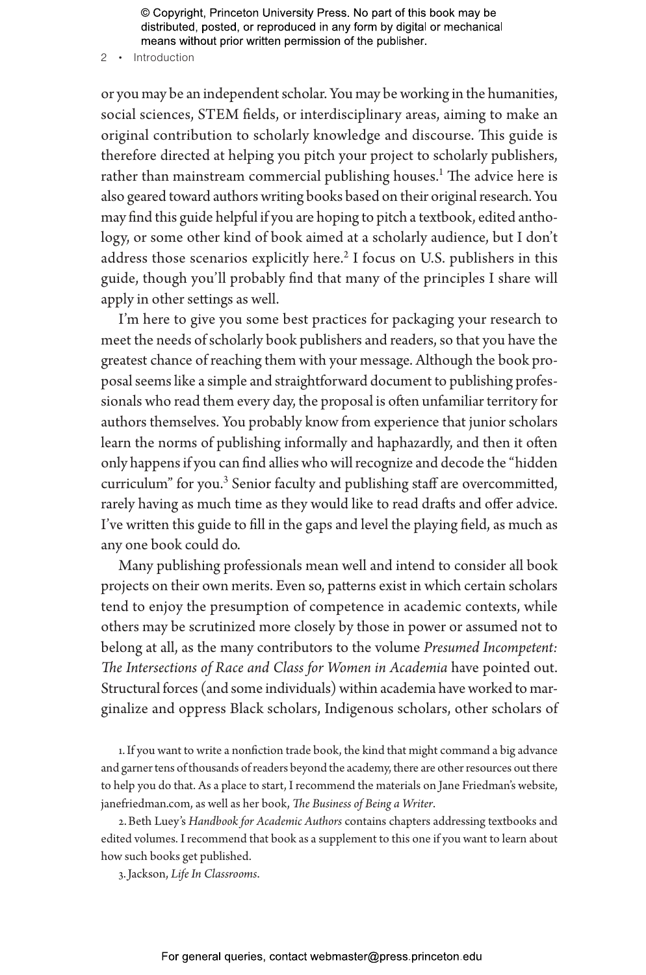2 • Introduction

or you may be an independent scholar. You may be working in the humanities, social sciences, STEM fields, or interdisciplinary areas, aiming to make an original contribution to scholarly knowledge and discourse. This guide is therefore directed at helping you pitch your project to scholarly publishers, rather than mainstream commercial publishing houses.<sup>1</sup> The advice here is also geared toward authors writing books based on their original research. You may find this guide helpful if you are hoping to pitch a textbook, edited anthology, or some other kind of book aimed at a scholarly audience, but I don't address those scenarios explicitly here.<sup>2</sup> I focus on U.S. publishers in this guide, though you'll probably find that many of the principles I share will apply in other settings as well.

I'm here to give you some best practices for packaging your research to meet the needs of scholarly book publishers and readers, so that you have the greatest chance of reaching them with your message. Although the book proposal seems like a simple and straightforward document to publishing professionals who read them every day, the proposal is often unfamiliar territory for authors themselves. You probably know from experience that junior scholars learn the norms of publishing informally and haphazardly, and then it often only happens if you can find allies who will recognize and decode the "hidden curriculum" for you.<sup>3</sup> Senior faculty and publishing staff are overcommitted, rarely having as much time as they would like to read drafts and offer advice. I've written this guide to fill in the gaps and level the playing field, as much as any one book could do.

Many publishing professionals mean well and intend to consider all book projects on their own merits. Even so, patterns exist in which certain scholars tend to enjoy the presumption of competence in academic contexts, while others may be scrutinized more closely by those in power or assumed not to belong at all, as the many contributors to the volume *Presumed Incompetent: The Intersections of Race and Class for Women in Academia* have pointed out. Structural forces (and some individuals) within academia have worked to marginalize and oppress Black scholars, Indigenous scholars, other scholars of

1.If you want to write a nonfiction trade book, the kind that might command a big advance and garner tens of thousands of readers beyond the academy, there are other resources out there to help you do that. As a place to start, I recommend the materials on Jane Friedman's website, janefriedman.com, as well as her book, *The Business of Being a Writer*.

2.Beth Luey's *Handbook for Academic Authors* contains chapters addressing textbooks and edited volumes. I recommend that book as a supplement to this one if you want to learn about how such books get published.

3.Jackson, *Life In Classrooms*.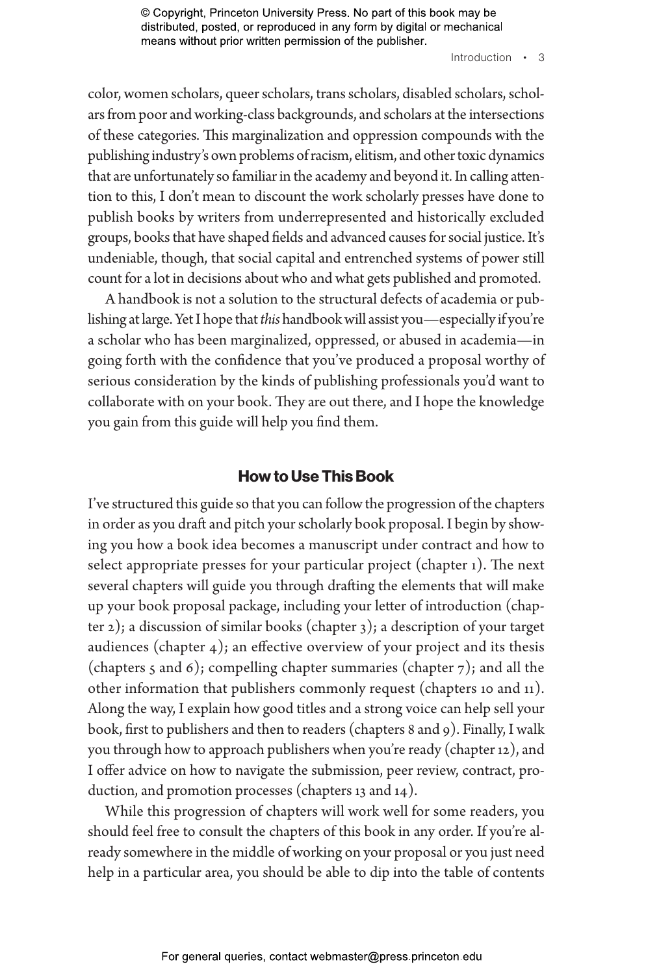Introduction • 3

color, women scholars, queer scholars, trans scholars, disabled scholars, scholars from poor and working-class backgrounds, and scholars at the intersections of these categories. This marginalization and oppression compounds with the publishing industry's own problems of racism, elitism, and other toxic dynamics that are unfortunately so familiar in the academy and beyond it. In calling attention to this, I don't mean to discount the work scholarly presses have done to publish books by writers from underrepresented and historically excluded groups, books that have shaped fields and advanced causes for social justice. It's undeniable, though, that social capital and entrenched systems of power still count for a lot in decisions about who and what gets published and promoted.

A handbook is not a solution to the structural defects of academia or publishing at large. Yet I hope that *this* handbook will assist you—especially if you're a scholar who has been marginalized, oppressed, or abused in academia—in going forth with the confidence that you've produced a proposal worthy of serious consideration by the kinds of publishing professionals you'd want to collaborate with on your book. They are out there, and I hope the knowledge you gain from this guide will help you find them.

#### How to Use This Book

I've structured this guide so that you can follow the progression of the chapters in order as you draft and pitch your scholarly book proposal. I begin by showing you how a book idea becomes a manuscript under contract and how to select appropriate presses for your particular project (chapter 1). The next several chapters will guide you through drafting the elements that will make up your book proposal package, including your letter of introduction (chapter 2); a discussion of similar books (chapter 3); a description of your target audiences (chapter  $4$ ); an effective overview of your project and its thesis (chapters 5 and 6); compelling chapter summaries (chapter 7); and all the other information that publishers commonly request (chapters 10 and 11). Along the way, I explain how good titles and a strong voice can help sell your book, first to publishers and then to readers (chapters 8 and 9). Finally, I walk you through how to approach publishers when you're ready (chapter 12), and I offer advice on how to navigate the submission, peer review, contract, production, and promotion processes (chapters 13 and 14).

While this progression of chapters will work well for some readers, you should feel free to consult the chapters of this book in any order. If you're already somewhere in the middle of working on your proposal or you just need help in a particular area, you should be able to dip into the table of contents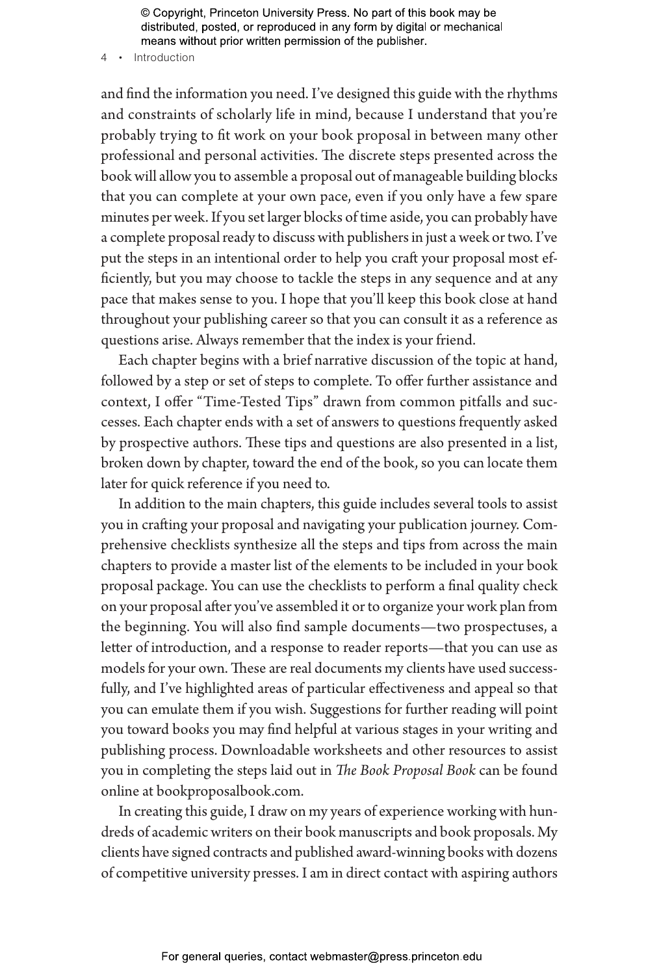4 • Introduction

and find the information you need. I've designed this guide with the rhythms and constraints of scholarly life in mind, because I understand that you're probably trying to fit work on your book proposal in between many other professional and personal activities. The discrete steps presented across the book will allow you to assemble a proposal out of manageable building blocks that you can complete at your own pace, even if you only have a few spare minutes per week. If you set larger blocks of time aside, you can probably have a complete proposal ready to discuss with publishers in just a week or two. I've put the steps in an intentional order to help you craft your proposal most efficiently, but you may choose to tackle the steps in any sequence and at any pace that makes sense to you. I hope that you'll keep this book close at hand throughout your publishing career so that you can consult it as a reference as questions arise. Always remember that the index is your friend.

Each chapter begins with a brief narrative discussion of the topic at hand, followed by a step or set of steps to complete. To offer further assistance and context, I offer "Time-Tested Tips" drawn from common pitfalls and successes. Each chapter ends with a set of answers to questions frequently asked by prospective authors. These tips and questions are also presented in a list, broken down by chapter, toward the end of the book, so you can locate them later for quick reference if you need to.

In addition to the main chapters, this guide includes several tools to assist you in crafting your proposal and navigating your publication journey. Comprehensive checklists synthesize all the steps and tips from across the main chapters to provide a master list of the elements to be included in your book proposal package. You can use the checklists to perform a final quality check on your proposal after you've assembled it or to organize your work plan from the beginning. You will also find sample documents—two prospectuses, a letter of introduction, and a response to reader reports—that you can use as models for your own. These are real documents my clients have used successfully, and I've highlighted areas of particular effectiveness and appeal so that you can emulate them if you wish. Suggestions for further reading will point you toward books you may find helpful at various stages in your writing and publishing process. Downloadable worksheets and other resources to assist you in completing the steps laid out in *The Book Proposal Book* can be found online at bookproposalbook.com.

In creating this guide, I draw on my years of experience working with hundreds of academic writers on their book manuscripts and book proposals. My clients have signed contracts and published award-winning books with dozens of competitive university presses. I am in direct contact with aspiring authors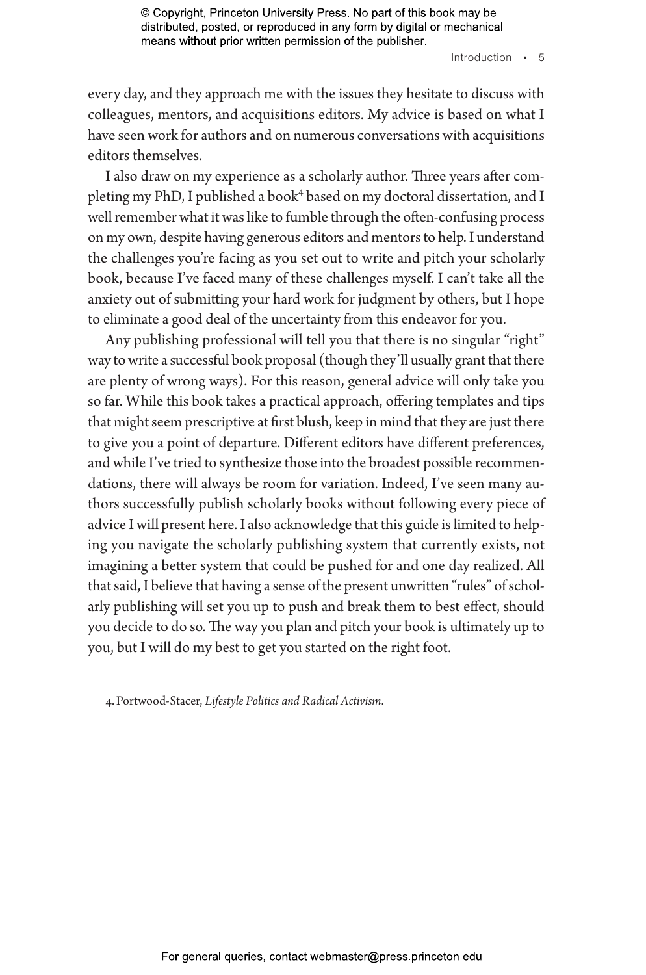Introduction • 5

every day, and they approach me with the issues they hesitate to discuss with colleagues, mentors, and acquisitions editors. My advice is based on what I have seen work for authors and on numerous conversations with acquisitions editors themselves.

I also draw on my experience as a scholarly author. Three years after completing my PhD, I published a book<sup>4</sup> based on my doctoral dissertation, and I well remember what it was like to fumble through the often-confusing process on my own, despite having generous editors and mentors to help. I understand the challenges you're facing as you set out to write and pitch your scholarly book, because I've faced many of these challenges myself. I can't take all the anxiety out of submitting your hard work for judgment by others, but I hope to eliminate a good deal of the uncertainty from this endeavor for you.

Any publishing professional will tell you that there is no singular "right" way to write a successful book proposal (though they'll usually grant that there are plenty of wrong ways). For this reason, general advice will only take you so far. While this book takes a practical approach, offering templates and tips that might seem prescriptive at first blush, keep in mind that they are just there to give you a point of departure. Different editors have different preferences, and while I've tried to synthesize those into the broadest possible recommendations, there will always be room for variation. Indeed, I've seen many authors successfully publish scholarly books without following every piece of advice I will present here. I also acknowledge that this guide is limited to helping you navigate the scholarly publishing system that currently exists, not imagining a better system that could be pushed for and one day realized. All that said, I believe that having a sense of the present unwritten "rules" of scholarly publishing will set you up to push and break them to best effect, should you decide to do so. The way you plan and pitch your book is ultimately up to you, but I will do my best to get you started on the right foot.

4.Portwood-Stacer, *Lifestyle Politics and Radical Activism*.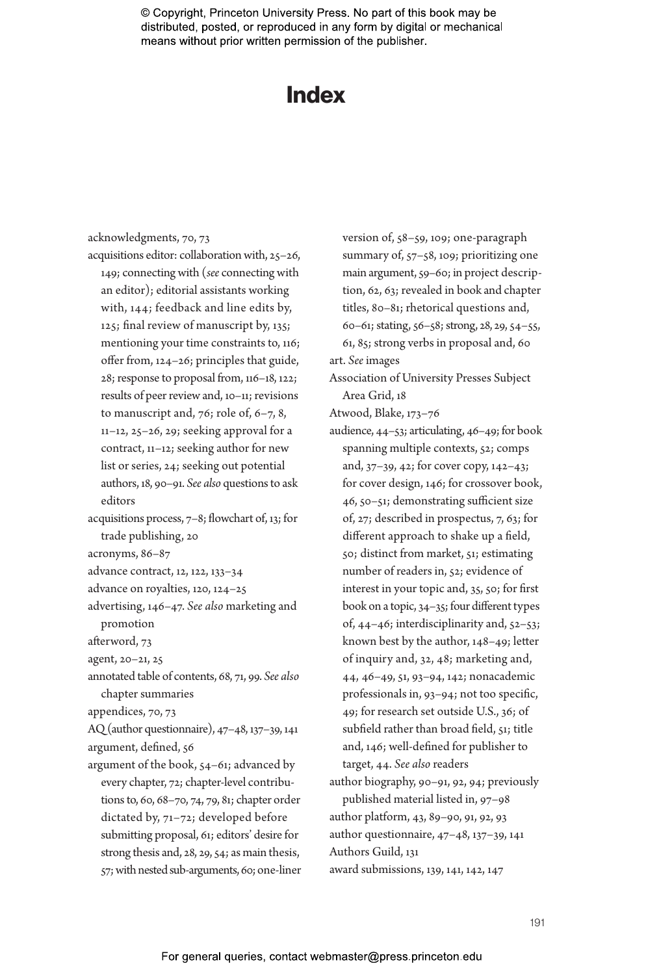### Index

| acknowledgments, 70, 73                         |
|-------------------------------------------------|
| acquisitions editor: collaboration with, 25-26, |

- 149; connecting with (*see* connecting with an editor); editorial assistants working with, 144; feedback and line edits by, 125; final review of manuscript by, 135; mentioning your time constraints to, 116; offer from, 124–26; principles that guide, 28; response to proposal from, 116–18, 122; results of peer review and, 10–11; revisions to manuscript and,  $76$ ; role of,  $6-7$ ,  $8$ , 11–12, 25–26, 29; seeking approval for a contract, 11–12; seeking author for new list or series, 24; seeking out potential authors, 18, 90–91. *See also* questions to ask editors
- acquisitions process, 7–8; flowchart of, 13; for trade publishing, 20
- acronyms, 86–87
- advance contract, 12, 122, 133–34
- advance on royalties, 120, 124–25
- advertising, 146–47. *See also* marketing and promotion
- afterword, 73
- agent, 20–21, 25
- annotated table of contents, 68, 71, 99. *See also* chapter summaries
- appendices, 70, 73

AQ (author questionnaire), 47–48, 137–39, 141 argument, defined, 56

argument of the book, 54–61; advanced by every chapter, 72; chapter-level contributions to, 60, 68–70, 74, 79, 81; chapter order dictated by, 71–72; developed before submitting proposal, 61; editors' desire for strong thesis and, 28, 29, 54; as main thesis, 57; with nested sub-arguments, 60; one-liner version of, 58–59, 109; one-paragraph summary of, 57–58, 109; prioritizing one main argument, 59–60; in project description, 62, 63; revealed in book and chapter titles, 80–81; rhetorical questions and, 60–61; stating, 56–58; strong, 28, 29, 54–55, 61, 85; strong verbs in proposal and, 60

- art. *See* images
- Association of University Presses Subject Area Grid, 18

Atwood, Blake, 173–76

audience, 44–53; articulating, 46–49; for book spanning multiple contexts, 52; comps and, 37–39, 42; for cover copy, 142–43; for cover design, 146; for crossover book, 46, 50–51; demonstrating sufficient size of, 27; described in prospectus, 7, 63; for different approach to shake up a field, 50; distinct from market, 51; estimating number of readers in, 52; evidence of interest in your topic and, 35, 50; for first book on a topic, 34–35; four different types of, 44–46; interdisciplinarity and, 52–53; known best by the author, 148–49; letter of inquiry and, 32, 48; marketing and, 44, 46–49, 51, 93–94, 142; nonacademic professionals in, 93–94; not too specific, 49; for research set outside U.S., 36; of subfield rather than broad field, 51; title and, 146; well-defined for publisher to target, 44. *See also* readers author biography, 90–91, 92, 94; previously published material listed in, 97–98 author platform, 43, 89–90, 91, 92, 93 author questionnaire, 47–48, 137–39, 141 Authors Guild, 131

award submissions, 139, 141, 142, 147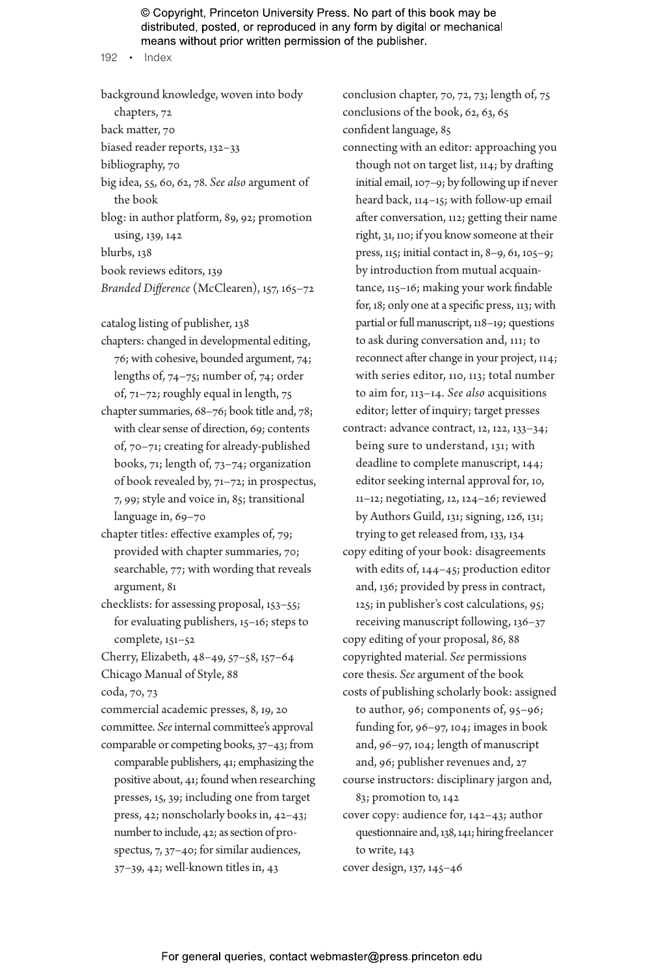192 • Index

background knowledge, woven into body chapters, 72 back matter, 70 biased reader reports, 132–33 bibliography, 70 big idea, 55, 60, 62, 78. *See also* argument of the book blog: in author platform, 89, 92; promotion using, 139, 142 blurbs, 138 book reviews editors, 139 *Branded Difference* (McClearen), 157, 165–72 catalog listing of publisher, 138 chapters: changed in developmental editing, 76; with cohesive, bounded argument, 74; lengths of, 74–75; number of, 74; order of, 71–72; roughly equal in length, 75 chapter summaries, 68–76; book title and, 78; with clear sense of direction, 69; contents of, 70–71; creating for already-published books, 71; length of, 73–74; organization of book revealed by, 71–72; in prospectus, 7, 99; style and voice in, 85; transitional language in, 69–70 chapter titles: effective examples of, 79; provided with chapter summaries, 70; searchable, 77; with wording that reveals argument, 81 checklists: for assessing proposal, 153–55; for evaluating publishers, 15–16; steps to

complete, 151–52

Cherry, Elizabeth, 48–49, 57–58, 157–64 Chicago Manual of Style, 88 coda, 70, 73

commercial academic presses, 8, 19, 20 committee. *See* internal committee's approval comparable or competing books, 37–43; from comparable publishers, 41; emphasizing the positive about, 41; found when researching presses, 15, 39; including one from target press, 42; nonscholarly books in, 42–43; number to include, 42; as section of prospectus, 7, 37–40; for similar audiences, 37–39, 42; well-known titles in, 43

conclusion chapter, 70, 72, 73; length of, 75 conclusions of the book, 62, 63, 65 confident language, 85

connecting with an editor: approaching you though not on target list, 114; by drafting initial email, 107–9; by following up if never heard back, 114–15; with follow-up email after conversation, 112; getting their name right, 31, 110; if you know someone at their press, 115; initial contact in, 8–9, 61, 105–9; by introduction from mutual acquaintance, 115–16; making your work findable for, 18; only one at a specific press, 113; with partial or full manuscript, 118–19; questions to ask during conversation and, 111; to reconnect after change in your project, 114; with series editor, 110, 113; total number to aim for, 113–14. *See also* acquisitions editor; letter of inquiry; target presses

contract: advance contract, 12, 122, 133–34; being sure to understand, 131; with deadline to complete manuscript, 144; editor seeking internal approval for, 10, 11–12; negotiating, 12, 124–26; reviewed by Authors Guild, 131; signing, 126, 131; trying to get released from, 133, 134

copy editing of your book: disagreements with edits of, 144–45; production editor and, 136; provided by press in contract, 125; in publisher's cost calculations, 95; receiving manuscript following, 136–37

copy editing of your proposal, 86, 88 copyrighted material. *See* permissions core thesis. *See* argument of the book

costs of publishing scholarly book: assigned to author, 96; components of, 95–96; funding for, 96–97, 104; images in book and, 96–97, 104; length of manuscript and, 96; publisher revenues and, 27

course instructors: disciplinary jargon and, 83; promotion to, 142 cover copy: audience for, 142–43; author

questionnaire and, 138, 141; hiring freelancer to write, 143

cover design, 137, 145–46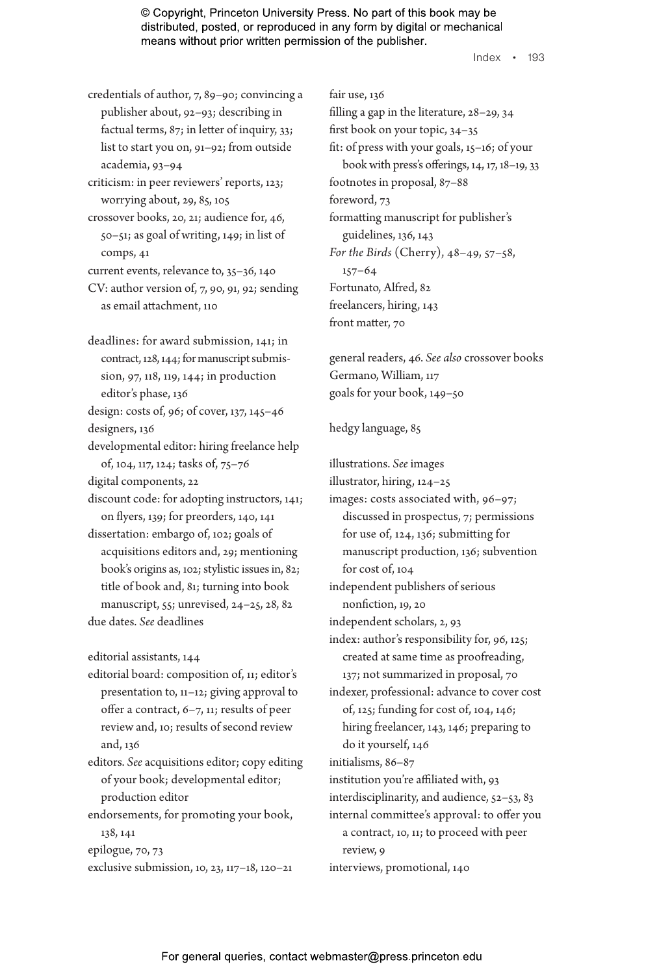Index • 193

credentials of author, 7, 89–90; convincing a publisher about, 92–93; describing in factual terms, 87; in letter of inquiry, 33; list to start you on, 91–92; from outside academia, 93–94

criticism: in peer reviewers' reports, 123; worrying about, 29, 85, 105

crossover books, 20, 21; audience for, 46, 50–51; as goal of writing, 149; in list of comps, 41

current events, relevance to, 35–36, 140

- CV: author version of, 7, 90, 91, 92; sending as email attachment, 110
- deadlines: for award submission, 141; in contract, 128, 144; for manuscript submission, 97, 118, 119, 144; in production editor's phase, 136

design: costs of, 96; of cover, 137, 145–46 designers, 136

developmental editor: hiring freelance help of, 104, 117, 124; tasks of, 75–76

digital components, 22

discount code: for adopting instructors, 141; on flyers, 139; for preorders, 140, 141

dissertation: embargo of, 102; goals of acquisitions editors and, 29; mentioning book's origins as, 102; stylistic issues in, 82; title of book and, 81; turning into book manuscript, 55; unrevised, 24–25, 28, 82 due dates. *See* deadlines

editorial assistants, 144

editorial board: composition of, 11; editor's presentation to, 11–12; giving approval to offer a contract, 6–7, 11; results of peer review and, 10; results of second review and, 136

editors. *See* acquisitions editor; copy editing of your book; developmental editor; production editor

endorsements, for promoting your book, 138, 141 epilogue, 70, 73

exclusive submission, 10, 23, 117–18, 120–21

fair use, 136 filling a gap in the literature, 28–29, 34 first book on your topic, 34–35 fit: of press with your goals, 15–16; of your book with press's offerings, 14, 17, 18–19, 33 footnotes in proposal, 87–88 foreword, 73 formatting manuscript for publisher's guidelines, 136, 143 *For the Birds* (Cherry), 48–49, 57–58, 157–64 Fortunato, Alfred, 82 freelancers, hiring, 143 front matter, 70

general readers, 46. *See also* crossover books Germano, William, 117 goals for your book, 149–50

#### hedgy language, 85

illustrations. *See* images illustrator, hiring, 124–25 images: costs associated with, 96–97; discussed in prospectus, 7; permissions for use of, 124, 136; submitting for manuscript production, 136; subvention for cost of, 104 independent publishers of serious nonfiction, 19, 20 independent scholars, 2, 93 index: author's responsibility for, 96, 125; created at same time as proofreading, 137; not summarized in proposal, 70 indexer, professional: advance to cover cost of, 125; funding for cost of, 104, 146; hiring freelancer, 143, 146; preparing to do it yourself, 146 initialisms, 86–87 institution you're affiliated with, 93 interdisciplinarity, and audience, 52–53, 83 internal committee's approval: to offer you a contract, 10, 11; to proceed with peer review, 9

interviews, promotional, 140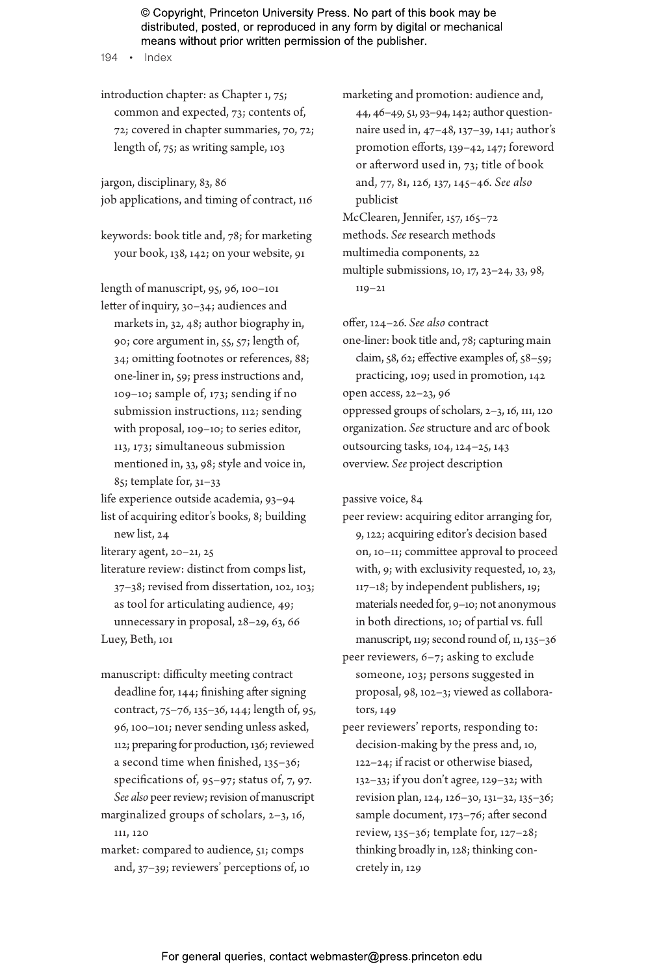194 • Index

introduction chapter: as Chapter 1, 75; common and expected, 73; contents of, 72; covered in chapter summaries, 70, 72; length of, 75; as writing sample, 103

jargon, disciplinary, 83, 86 job applications, and timing of contract, 116

keywords: book title and, 78; for marketing your book, 138, 142; on your website, 91

length of manuscript, 95, 96, 100–101 letter of inquiry, 30–34; audiences and markets in, 32, 48; author biography in, 90; core argument in, 55, 57; length of, 34; omitting footnotes or references, 88; one-liner in, 59; press instructions and, 109–10; sample of, 173; sending if no submission instructions, 112; sending with proposal, 109–10; to series editor, 113, 173; simultaneous submission mentioned in, 33, 98; style and voice in, 85; template for, 31–33

life experience outside academia, 93–94 list of acquiring editor's books, 8; building

new list, 24

literary agent, 20–21, 25

literature review: distinct from comps list, 37–38; revised from dissertation, 102, 103; as tool for articulating audience, 49; unnecessary in proposal, 28–29, 63, 66 Luey, Beth, 101

manuscript: difficulty meeting contract deadline for, 144; finishing after signing contract, 75–76, 135–36, 144; length of, 95, 96, 100–101; never sending unless asked, 112; preparing for production, 136; reviewed a second time when finished, 135–36; specifications of, 95–97; status of, 7, 97. *See also* peer review; revision of manuscript marginalized groups of scholars, 2–3, 16,

market: compared to audience, 51; comps and, 37–39; reviewers' perceptions of, 10

111, 120

marketing and promotion: audience and, 44, 46–49, 51, 93–94, 142; author questionnaire used in, 47–48, 137–39, 141; author's promotion efforts, 139–42, 147; foreword or afterword used in, 73; title of book and, 77, 81, 126, 137, 145–46. *See also* publicist McClearen, Jennifer, 157, 165–72 methods. *See* research methods

multimedia components, 22 multiple submissions, 10, 17, 23–24, 33, 98, 119–21

offer, 124–26. *See also* contract one-liner: book title and, 78; capturing main claim, 58, 62; effective examples of, 58–59; practicing, 109; used in promotion, 142 open access, 22–23, 96 oppressed groups of scholars, 2–3, 16, 111, 120 organization. *See* structure and arc of book outsourcing tasks, 104, 124–25, 143 overview. *See* project description

passive voice, 84

peer review: acquiring editor arranging for, 9, 122; acquiring editor's decision based on, 10–11; committee approval to proceed with, 9; with exclusivity requested, 10, 23, 117–18; by independent publishers, 19; materials needed for, 9–10; not anonymous in both directions, 10; of partial vs. full manuscript, 119; second round of, 11, 135–36

peer reviewers, 6–7; asking to exclude someone, 103; persons suggested in proposal, 98, 102–3; viewed as collaborators, 149

peer reviewers' reports, responding to: decision-making by the press and, 10, 122–24; if racist or otherwise biased, 132–33; if you don't agree, 129–32; with revision plan, 124, 126–30, 131–32, 135–36; sample document, 173–76; after second review, 135–36; template for, 127–28; thinking broadly in, 128; thinking concretely in, 129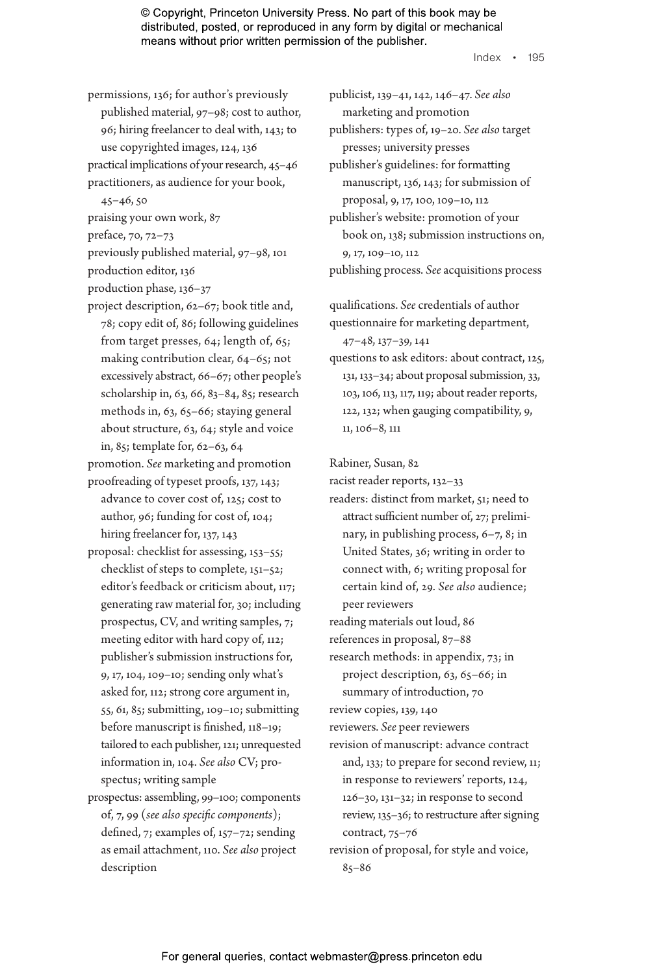Index • 195

permissions, 136; for author's previously published material, 97–98; cost to author, 96; hiring freelancer to deal with, 143; to use copyrighted images, 124, 136 practical implications of your research, 45–46 practitioners, as audience for your book,

45–46, 50

praising your own work, 87

preface, 70, 72–73

previously published material, 97–98, 101 production editor, 136

- production phase, 136–37
- project description, 62–67; book title and, 78; copy edit of, 86; following guidelines from target presses, 64; length of, 65; making contribution clear, 64–65; not excessively abstract, 66–67; other people's scholarship in, 63, 66, 83–84, 85; research methods in, 63, 65–66; staying general about structure, 63, 64; style and voice in, 85; template for, 62–63, 64

promotion. *See* marketing and promotion proofreading of typeset proofs, 137, 143;

- advance to cover cost of, 125; cost to author, 96; funding for cost of, 104; hiring freelancer for, 137, 143
- proposal: checklist for assessing, 153–55; checklist of steps to complete, 151–52; editor's feedback or criticism about, 117; generating raw material for, 30; including prospectus, CV, and writing samples, 7; meeting editor with hard copy of, 112; publisher's submission instructions for, 9, 17, 104, 109–10; sending only what's asked for, 112; strong core argument in, 55, 61, 85; submitting, 109–10; submitting before manuscript is finished, 118–19; tailored to each publisher, 121; unrequested information in, 104. *See also* CV; prospectus; writing sample
- prospectus: assembling, 99–100; components of, 7, 99 (*see also specific components*); defined, 7; examples of, 157–72; sending as email attachment, 110. *See also* project description

publicist, 139–41, 142, 146–47. *See also* marketing and promotion publishers: types of, 19–20. *See also* target presses; university presses publisher's guidelines: for formatting manuscript, 136, 143; for submission of proposal, 9, 17, 100, 109–10, 112 publisher's website: promotion of your book on, 138; submission instructions on, 9, 17, 109–10, 112

publishing process. *See* acquisitions process

qualifications. *See* credentials of author questionnaire for marketing department,

47–48, 137–39, 141

questions to ask editors: about contract, 125, 131, 133–34; about proposal submission, 33, 103, 106, 113, 117, 119; about reader reports, 122, 132; when gauging compatibility, 9, 11, 106–8, 111

Rabiner, Susan, 82

racist reader reports, 132–33

readers: distinct from market, 51; need to attract sufficient number of, 27; preliminary, in publishing process, 6–7, 8; in United States, 36; writing in order to connect with, 6; writing proposal for certain kind of, 29. *See also* audience; peer reviewers reading materials out loud, 86

references in proposal, 87–88

research methods: in appendix, 73; in project description, 63, 65–66; in

summary of introduction, 70 review copies, 139, 140

reviewers. *See* peer reviewers

revision of manuscript: advance contract and, 133; to prepare for second review, 11; in response to reviewers' reports, 124, 126–30, 131–32; in response to second review, 135–36; to restructure after signing contract, 75–76

revision of proposal, for style and voice, 85–86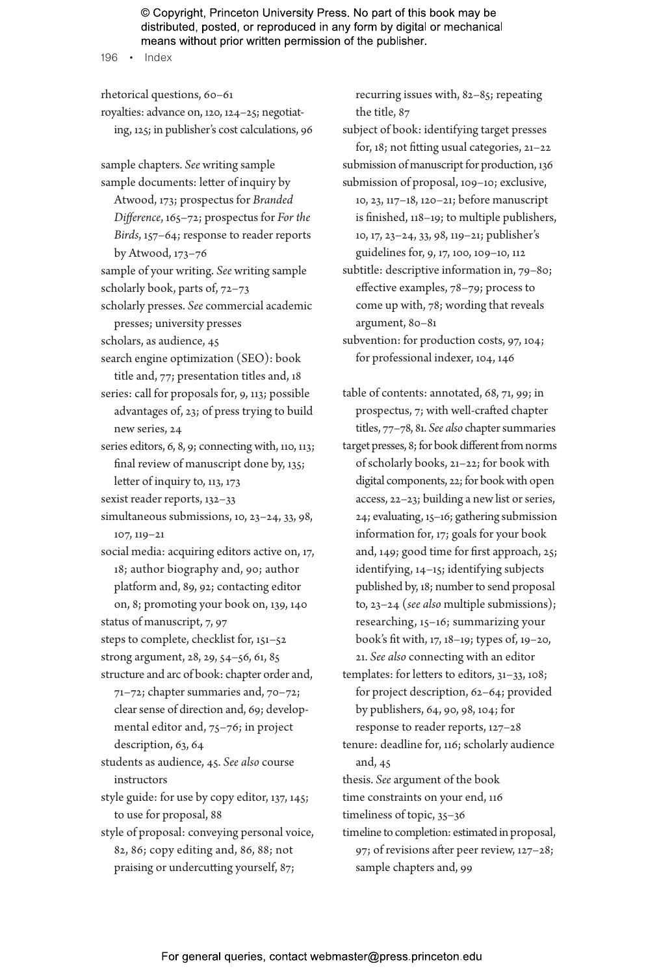196 • Index

rhetorical questions, 60–61 royalties: advance on, 120, 124–25; negotiating, 125; in publisher's cost calculations, 96 sample chapters. *See* writing sample sample documents: letter of inquiry by Atwood, 173; prospectus for *Branded Difference*, 165–72; prospectus for *For the Birds*, 157–64; response to reader reports by Atwood, 173–76 sample of your writing. *See* writing sample scholarly book, parts of, 72–73 scholarly presses. *See* commercial academic presses; university presses scholars, as audience, 45 search engine optimization (SEO): book title and, 77; presentation titles and, 18 series: call for proposals for, 9, 113; possible advantages of, 23; of press trying to build new series, 24 series editors, 6, 8, 9; connecting with, 110, 113; final review of manuscript done by, 135; letter of inquiry to, 113, 173 sexist reader reports, 132–33 simultaneous submissions, 10, 23–24, 33, 98, 107, 119–21 social media: acquiring editors active on, 17, 18; author biography and, 90; author platform and, 89, 92; contacting editor on, 8; promoting your book on, 139, 140 status of manuscript, 7, 97 steps to complete, checklist for, 151–52 strong argument, 28, 29, 54–56, 61, 85 structure and arc of book: chapter order and, 71–72; chapter summaries and, 70–72; clear sense of direction and, 69; developmental editor and, 75–76; in project description, 63, 64 students as audience, 45. *See also* course instructors style guide: for use by copy editor, 137, 145; to use for proposal, 88 style of proposal: conveying personal voice, 82, 86; copy editing and, 86, 88; not praising or undercutting yourself, 87;

recurring issues with, 82–85; repeating the title, 87

subject of book: identifying target presses for, 18; not fitting usual categories, 21–22 submission of manuscript for production, 136 submission of proposal, 109–10; exclusive, 10, 23, 117–18, 120–21; before manuscript is finished, 118–19; to multiple publishers, 10, 17, 23–24, 33, 98, 119–21; publisher's

guidelines for, 9, 17, 100, 109–10, 112

subtitle: descriptive information in, 79–80; effective examples, 78–79; process to come up with, 78; wording that reveals argument, 80–81

subvention: for production costs, 97, 104; for professional indexer, 104, 146

table of contents: annotated, 68, 71, 99; in prospectus, 7; with well-crafted chapter titles, 77–78, 81. *See also* chapter summaries target presses, 8; for book different from norms of scholarly books, 21–22; for book with digital components, 22; for book with open access, 22–23; building a new list or series, 24; evaluating, 15–16; gathering submission information for, 17; goals for your book and, 149; good time for first approach, 25;

identifying, 14–15; identifying subjects published by, 18; number to send proposal to, 23–24 (*see also* multiple submissions); researching, 15–16; summarizing your book's fit with, 17, 18–19; types of, 19–20, 21. *See also* connecting with an editor

templates: for letters to editors, 31–33, 108; for project description, 62–64; provided by publishers, 64, 90, 98, 104; for response to reader reports, 127–28

tenure: deadline for, 116; scholarly audience and, 45

thesis. *See* argument of the book time constraints on your end, 116

timeliness of topic, 35–36

timeline to completion: estimated in proposal, 97; of revisions after peer review, 127–28; sample chapters and, 99